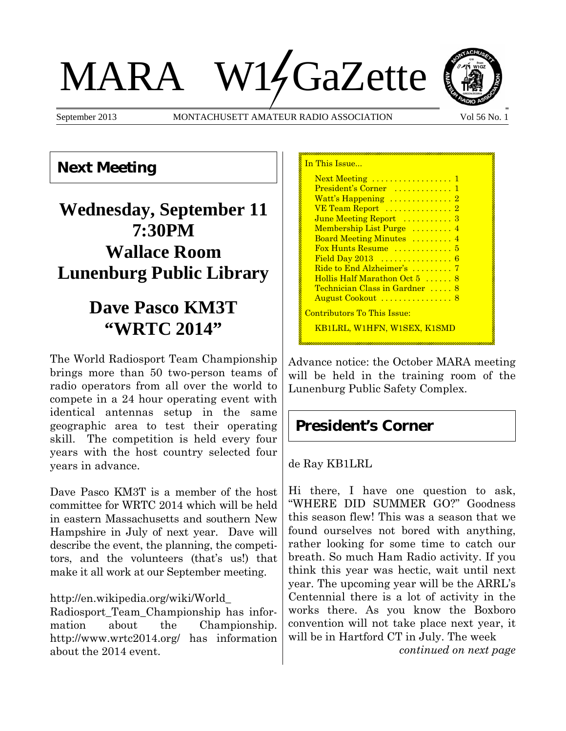# MARA W14GaZette



September 2013 MONTACHUSETT AMATEUR RADIO ASSOCIATION Vol 56 No. 1

## **Next Meeting**

# **Wednesday, September 11 7:30PM Wallace Room Lunenburg Public Library**

# **Dave Pasco KM3T "WRTC 2014"**

The World Radiosport Team Championship brings more than 50 two-person teams of radio operators from all over the world to compete in a 24 hour operating event with identical antennas setup in the same geographic area to test their operating skill. The competition is held every four years with the host country selected four years in advance.

Dave Pasco KM3T is a member of the host committee for WRTC 2014 which will be held in eastern Massachusetts and southern New Hampshire in July of next year. Dave will describe the event, the planning, the competitors, and the volunteers (that's us!) that make it all work at our September meeting.

#### http://en.wikipedia.org/wiki/World\_

Radiosport\_Team\_Championship has information about the Championship. http://www.wrtc2014.org/ has information about the 2014 event.

| In This Issue                                            |
|----------------------------------------------------------|
| $Next Meeting \dots \dots \dots \dots \dots \dots \dots$ |
| President's Corner  1                                    |
| Watt's Happening  2                                      |
| VE Team Report  2                                        |
| June Meeting Report  3                                   |
| Membership List Purge  4                                 |
| Board Meeting Minutes  4                                 |
| Fox Hunts Resume  5                                      |
| Field Day 2013  6                                        |
| Ride to End Alzheimer's  7                               |
| Hollis Half Marathon Oct 5  8                            |
| Technician Class in Gardner  8                           |
| August Cookout  8                                        |
| <u> Contributors To This Issue:</u>                      |
| <u>KB1LRL, W1HFN, W1SEX, K1SMD</u>                       |
|                                                          |

Advance notice: the October MARA meeting will be held in the training room of the Lunenburg Public Safety Complex.

## **President's Corner**

### de Ray KB1LRL

Hi there, I have one question to ask, "WHERE DID SUMMER GO?" Goodness this season flew! This was a season that we found ourselves not bored with anything, rather looking for some time to catch our breath. So much Ham Radio activity. If you think this year was hectic, wait until next year. The upcoming year will be the ARRL's Centennial there is a lot of activity in the works there. As you know the Boxboro convention will not take place next year, it will be in Hartford CT in July. The week

*continued on next page*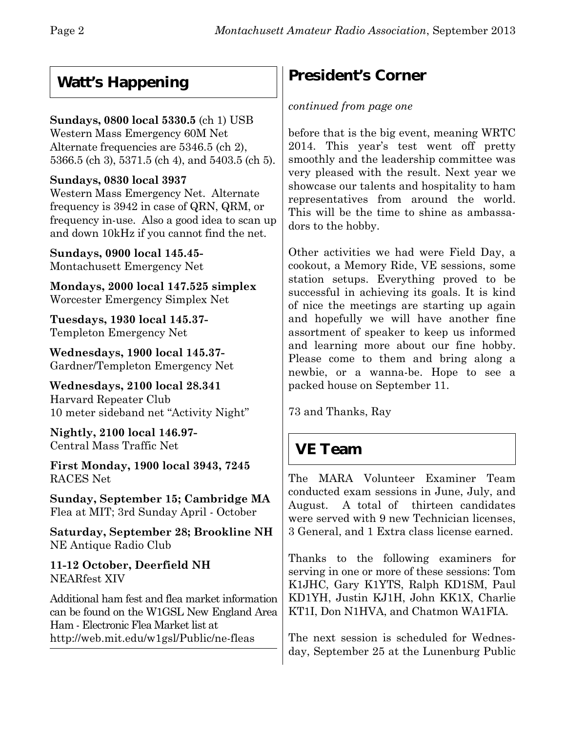## **Watt's Happening**

## **Sundays, 0800 local 5330.5** (ch 1) USB

Western Mass Emergency 60M Net Alternate frequencies are 5346.5 (ch 2), 5366.5 (ch 3), 5371.5 (ch 4), and 5403.5 (ch 5).

## **Sundays, 0830 local 3937**

Western Mass Emergency Net. Alternate frequency is 3942 in case of QRN, QRM, or frequency in-use. Also a good idea to scan up and down 10kHz if you cannot find the net.

**Sundays, 0900 local 145.45-** Montachusett Emergency Net

**Mondays, 2000 local 147.525 simplex** Worcester Emergency Simplex Net

**Tuesdays, 1930 local 145.37-** Templeton Emergency Net

**Wednesdays, 1900 local 145.37-** Gardner/Templeton Emergency Net

**Wednesdays, 2100 local 28.341** Harvard Repeater Club 10 meter sideband net "Activity Night"

**Nightly, 2100 local 146.97-** Central Mass Traffic Net

**First Monday, 1900 local 3943, 7245** RACES Net

**Sunday, September 15; Cambridge MA** Flea at MIT; 3rd Sunday April - October

**Saturday, September 28; Brookline NH** NE Antique Radio Club

**11-12 October, Deerfield NH** NEARfest XIV

Additional ham fest and flea market information can be found on the W1GSL New England Area Ham - Electronic Flea Market list at http://web.mit.edu/w1gsl/Public/ne-fleas

# **President's Corner**

## *continued from page one*

before that is the big event, meaning WRTC 2014. This year's test went off pretty smoothly and the leadership committee was very pleased with the result. Next year we showcase our talents and hospitality to ham representatives from around the world. This will be the time to shine as ambassadors to the hobby.

Other activities we had were Field Day, a cookout, a Memory Ride, VE sessions, some station setups. Everything proved to be successful in achieving its goals. It is kind of nice the meetings are starting up again and hopefully we will have another fine assortment of speaker to keep us informed and learning more about our fine hobby. Please come to them and bring along a newbie, or a wanna-be. Hope to see a packed house on September 11.

73 and Thanks, Ray

## **VE Team**

The MARA Volunteer Examiner Team conducted exam sessions in June, July, and August. A total of thirteen candidates were served with 9 new Technician licenses, 3 General, and 1 Extra class license earned.

Thanks to the following examiners for serving in one or more of these sessions: Tom K1JHC, Gary K1YTS, Ralph KD1SM, Paul KD1YH, Justin KJ1H, John KK1X, Charlie KT1I, Don N1HVA, and Chatmon WA1FIA.

The next session is scheduled for Wednesday, September 25 at the Lunenburg Public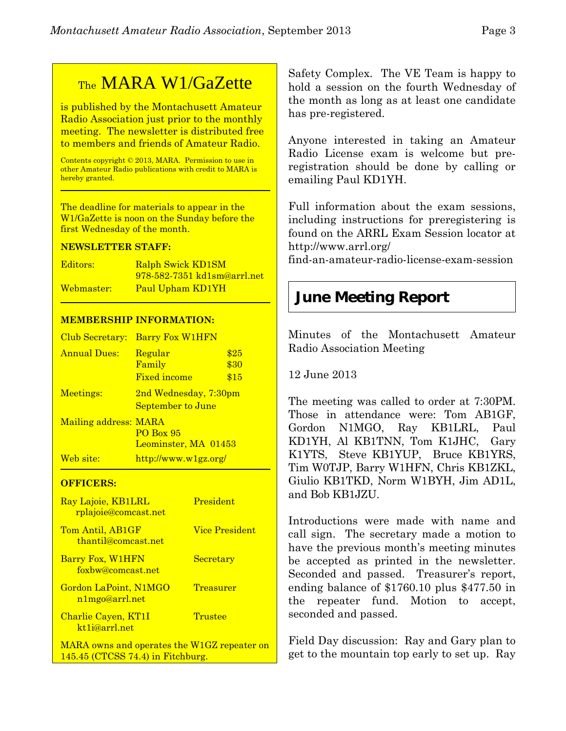## TheMARA W1/GaZette

is published by the Montachusett Amateur Radio Association just prior to the monthly meeting. The newsletter is distributed free to members and friends of Amateur Radio.

Contents copyright © 2013, MARA. Permission to use in other Amateur Radio publications with credit to MARA is hereby granted.

The deadline for materials to appear in the W1/GaZette is noon on the Sunday before the first Wednesday of the month.

#### **NEWSLETTER STAFF:**

| Editors:   | Ralph Swick KD1SM                  |
|------------|------------------------------------|
|            | <u>978-582-7351 kd1sm@arrl.net</u> |
| Webmaster: | Paul Upham KD1YH                   |

#### **MEMBERSHIP INFORMATION:**

| Club Secretary:       | <b>Barry Fox W1HFN</b>                              |                      |
|-----------------------|-----------------------------------------------------|----------------------|
| <b>Annual Dues:</b>   | Regular<br>Family<br><b>Fixed income</b>            | \$25<br>\$30<br>\$15 |
| Meetings:             | 2nd Wednesday, 7:30pm<br>September to June          |                      |
| Mailing address: MARA | PO Box 95<br>Leominster, MA 01453                   |                      |
| Web site:             | $\frac{http://www.w1gz.org/}{http://www.w1gz.org/}$ |                      |

#### **OFFICERS:**

| Ray Lajoie, KB1LRL<br>rplajoie@comcast.net  | <b>President</b> |
|---------------------------------------------|------------------|
| Tom Antil, AB1GF<br>thantil@comcast.net     | Vice President   |
| Barry Fox, W1HFN<br>foxbw@comcast.net       | <b>Secretary</b> |
| Gordon LaPoint, N1MGO<br>n1mgo@arrl.net     | <b>Treasurer</b> |
| Charlie Cayen, KT1I<br>kt1j@arrl.net        | Trustee          |
| MARA owns and operates the W1GZ repeater on |                  |

145.45 (CTCSS 74.4) in Fitchburg.

Safety Complex.The VE Team is happy to hold a session on the fourth Wednesday of the month as long as at least one candidate has pre-registered.

Anyone interested in taking an Amateur Radio License exam is welcome but preregistration should be done by calling or emailing Paul KD1YH.

Full information about the exam sessions, including instructions for preregistering is found on the ARRL Exam Session locator at http://www.arrl.org/

find-an-amateur-radio-license-exam-session

## **June Meeting Report**

Minutes of the Montachusett Amateur Radio Association Meeting

12 June 2013

The meeting was called to order at 7:30PM. Those in attendance were: Tom AB1GF, Gordon N1MGO, Ray KB1LRL, Paul KD1YH, Al KB1TNN, Tom K1JHC, Gary K1YTS, Steve KB1YUP, Bruce KB1YRS, Tim W0TJP, Barry W1HFN, Chris KB1ZKL, Giulio KB1TKD, Norm W1BYH, Jim AD1L, and Bob KB1JZU.

Introductions were made with name and call sign. The secretary made a motion to have the previous month's meeting minutes be accepted as printed in the newsletter. Seconded and passed. Treasurer's report, ending balance of \$1760.10 plus \$477.50 in the repeater fund. Motion to accept, seconded and passed.

Field Day discussion: Ray and Gary plan to get to the mountain top early to set up. Ray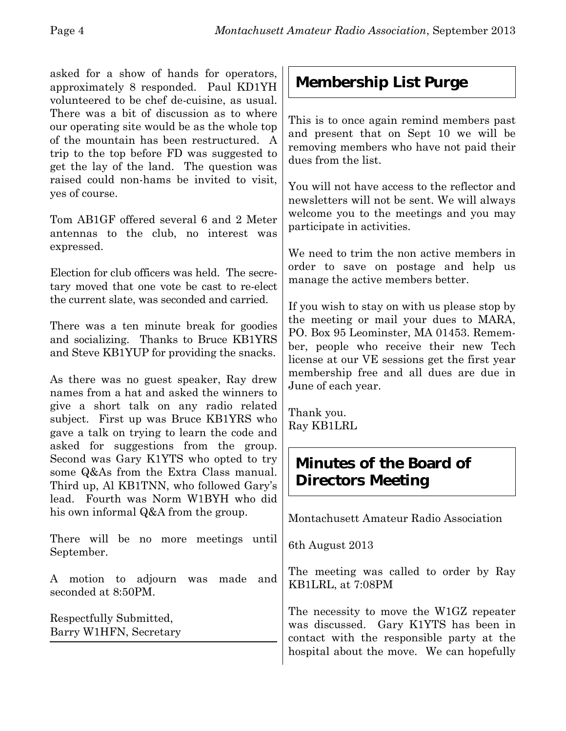asked for a show of hands for operators, approximately 8 responded. Paul KD1YH volunteered to be chef de-cuisine, as usual. There was a bit of discussion as to where our operating site would be as the whole top of the mountain has been restructured. A trip to the top before FD was suggested to get the lay of the land. The question was raised could non-hams be invited to visit, yes of course.

Tom AB1GF offered several 6 and 2 Meter antennas to the club, no interest was expressed.

Election for club officers was held. The secretary moved that one vote be cast to re-elect the current slate, was seconded and carried.

There was a ten minute break for goodies and socializing. Thanks to Bruce KB1YRS and Steve KB1YUP for providing the snacks.

As there was no guest speaker, Ray drew names from a hat and asked the winners to give a short talk on any radio related subject. First up was Bruce KB1YRS who gave a talk on trying to learn the code and asked for suggestions from the group. Second was Gary K1YTS who opted to try some Q&As from the Extra Class manual. Third up, Al KB1TNN, who followed Gary's lead. Fourth was Norm W1BYH who did his own informal Q&A from the group.

There will be no more meetings until September.

A motion to adjourn was made and seconded at 8:50PM.

Respectfully Submitted, Barry W1HFN, Secretary

# **Membership List Purge**

This is to once again remind members past and present that on Sept 10 we will be removing members who have not paid their dues from the list.

You will not have access to the reflector and newsletters will not be sent. We will always welcome you to the meetings and you may participate in activities.

We need to trim the non active members in order to save on postage and help us manage the active members better.

If you wish to stay on with us please stop by the meeting or mail your dues to MARA, PO. Box 95 Leominster, MA 01453. Remember, people who receive their new Tech license at our VE sessions get the first year membership free and all dues are due in June of each year.

Thank you. Ray KB1LRL

## **Minutes of the Board of Directors Meeting**

Montachusett Amateur Radio Association

6th August 2013

The meeting was called to order by Ray KB1LRL, at 7:08PM

The necessity to move the W1GZ repeater was discussed. Gary K1YTS has been in contact with the responsible party at the hospital about the move. We can hopefully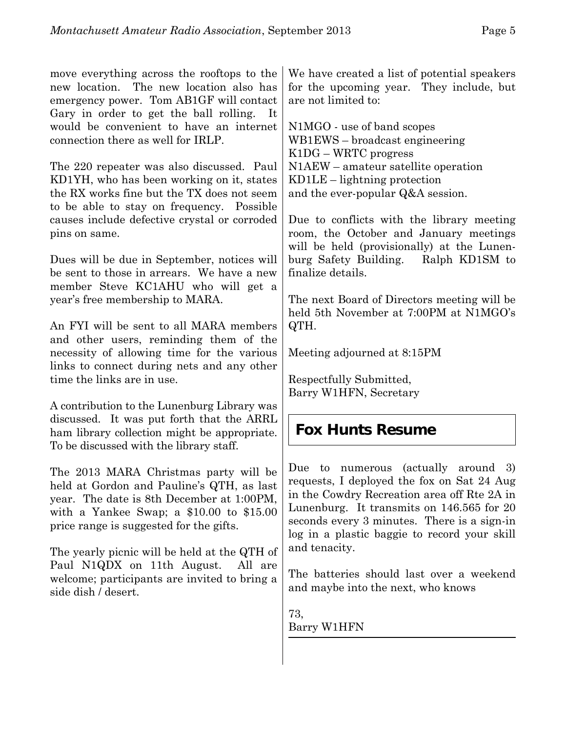move everything across the rooftops to the new location. The new location also has emergency power. Tom AB1GF will contact Gary in order to get the ball rolling. It would be convenient to have an internet connection there as well for IRLP.

The 220 repeater was also discussed. Paul KD1YH, who has been working on it, states the RX works fine but the TX does not seem to be able to stay on frequency. Possible causes include defective crystal or corroded pins on same.

Dues will be due in September, notices will be sent to those in arrears. We have a new member Steve KC1AHU who will get a year's free membership to MARA.

An FYI will be sent to all MARA members and other users, reminding them of the necessity of allowing time for the various links to connect during nets and any other time the links are in use.

A contribution to the Lunenburg Library was discussed. It was put forth that the ARRL ham library collection might be appropriate. To be discussed with the library staff.

The 2013 MARA Christmas party will be held at Gordon and Pauline's QTH, as last year. The date is 8th December at 1:00PM, with a Yankee Swap; a \$10.00 to \$15.00 price range is suggested for the gifts.

The yearly picnic will be held at the QTH of Paul N1QDX on 11th August. All are welcome; participants are invited to bring a side dish / desert.

We have created a list of potential speakers for the upcoming year. They include, but are not limited to:

N1MGO - use of band scopes WB1EWS – broadcast engineering K1DG – WRTC progress N1AEW – amateur satellite operation KD1LE – lightning protection and the ever-popular Q&A session.

Due to conflicts with the library meeting room, the October and January meetings will be held (provisionally) at the Lunenburg Safety Building. Ralph KD1SM to finalize details.

The next Board of Directors meeting will be held 5th November at 7:00PM at N1MGO's QTH.

Meeting adjourned at 8:15PM

Respectfully Submitted, Barry W1HFN, Secretary

## **Fox Hunts Resume**

Due to numerous (actually around 3) requests, I deployed the fox on Sat 24 Aug in the Cowdry Recreation area off Rte 2A in Lunenburg. It transmits on 146.565 for 20 seconds every 3 minutes. There is a sign-in log in a plastic baggie to record your skill and tenacity.

The batteries should last over a weekend and maybe into the next, who knows

73, Barry W1HFN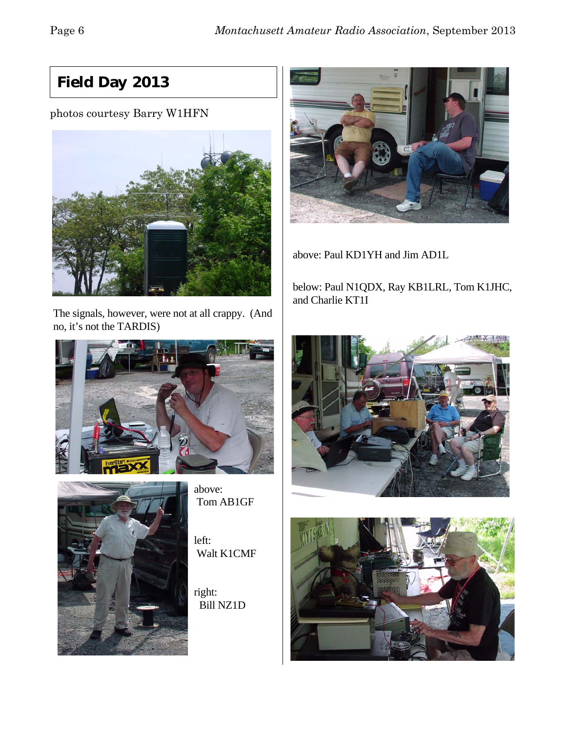# **Field Day 2013**

## photos courtesy Barry W1HFN



The signals, however, were not at all crappy. (And no, it's not the TARDIS)





above: Tom AB1GF

left: Walt K1CMF

right: Bill NZ1D



above: Paul KD1YH and Jim AD1L

below: Paul N1QDX, Ray KB1LRL, Tom K1JHC, and Charlie KT1I



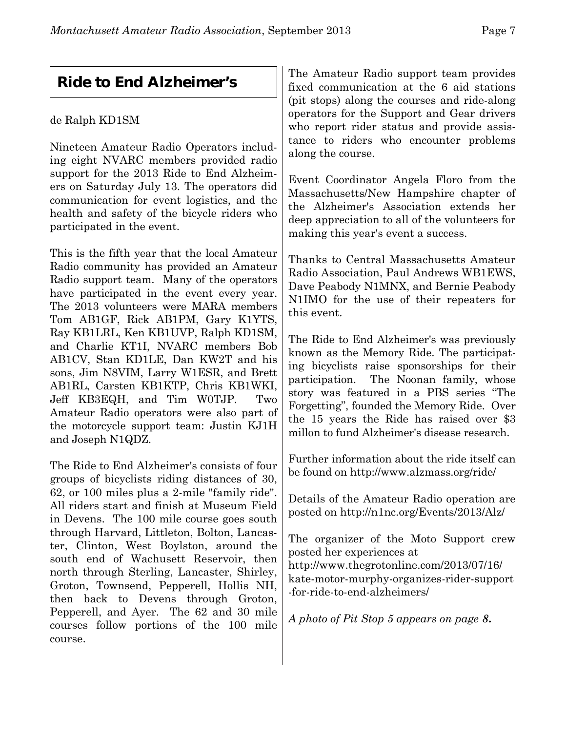## **Ride to End Alzheimer's**

## de Ralph KD1SM

Nineteen Amateur Radio Operators including eight NVARC members provided radio support for the 2013 Ride to End Alzheimers on Saturday July 13. The operators did communication for event logistics, and the health and safety of the bicycle riders who participated in the event.

This is the fifth year that the local Amateur Radio community has provided an Amateur Radio support team. Many of the operators have participated in the event every year. The 2013 volunteers were MARA members Tom AB1GF, Rick AB1PM, Gary K1YTS, Ray KB1LRL, Ken KB1UVP, Ralph KD1SM, and Charlie KT1I, NVARC members Bob AB1CV, Stan KD1LE, Dan KW2T and his sons, Jim N8VIM, Larry W1ESR, and Brett AB1RL, Carsten KB1KTP, Chris KB1WKI, Jeff KB3EQH, and Tim W0TJP. Two Amateur Radio operators were also part of the motorcycle support team: Justin KJ1H and Joseph N1QDZ.

The Ride to End Alzheimer's consists of four groups of bicyclists riding distances of 30, 62, or 100 miles plus a 2-mile "family ride". All riders start and finish at Museum Field in Devens. The 100 mile course goes south through Harvard, Littleton, Bolton, Lancaster, Clinton, West Boylston, around the south end of Wachusett Reservoir, then north through Sterling, Lancaster, Shirley, Groton, Townsend, Pepperell, Hollis NH, then back to Devens through Groton, Pepperell, and Ayer. The 62 and 30 mile courses follow portions of the 100 mile course.

The Amateur Radio support team provides fixed communication at the 6 aid stations (pit stops) along the courses and ride-along operators for the Support and Gear drivers who report rider status and provide assistance to riders who encounter problems along the course.

Event Coordinator Angela Floro from the Massachusetts/New Hampshire chapter of the Alzheimer's Association extends her deep appreciation to all of the volunteers for making this year's event a success.

Thanks to Central Massachusetts Amateur Radio Association, Paul Andrews WB1EWS, Dave Peabody N1MNX, and Bernie Peabody N1IMO for the use of their repeaters for this event.

The Ride to End Alzheimer's was previously known as the Memory Ride. The participating bicyclists raise sponsorships for their participation. The Noonan family, whose story was featured in a PBS series "The Forgetting", founded the Memory Ride. Over the 15 years the Ride has raised over \$3 millon to fund Alzheimer's disease research.

Further information about the ride itself can be found on http://www.alzmass.org/ride/

Details of the Amateur Radio operation are posted on http://n1nc.org/Events/2013/Alz/

The organizer of the Moto Support crew posted her experiences at http://www.thegrotonline.com/2013/07/16/ kate-motor-murphy-organizes-rider-support -for-ride-to-end-alzheimers/

*A photo of Pit Stop 5 appears on page 8***.**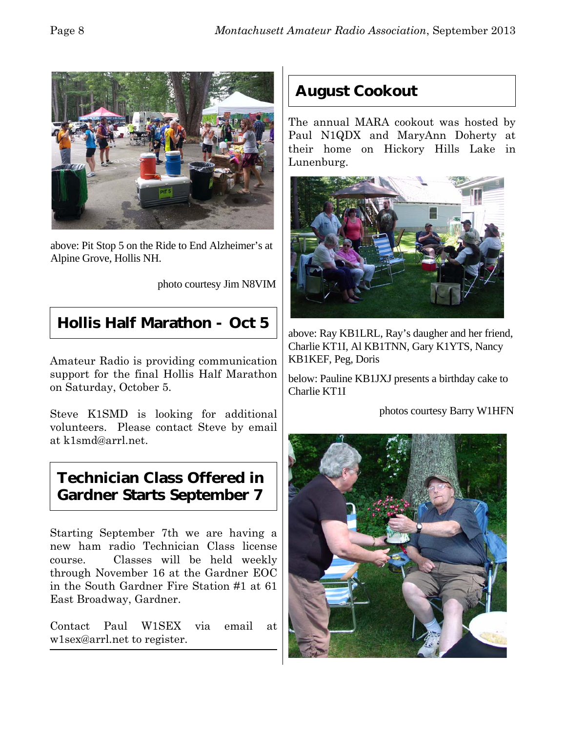

above: Pit Stop 5 on the Ride to End Alzheimer's at Alpine Grove, Hollis NH.

photo courtesy Jim N8VIM

## **Hollis Half Marathon - Oct 5**

Amateur Radio is providing communication support for the final Hollis Half Marathon on Saturday, October 5.

Steve K1SMD is looking for additional volunteers. Please contact Steve by email at k1smd@arrl.net.

## **Technician Class Offered in Gardner Starts September 7**

Starting September 7th we are having a new ham radio Technician Class license course. Classes will be held weekly through November 16 at the Gardner EOC in the South Gardner Fire Station #1 at 61 East Broadway, Gardner.

Contact Paul W1SEX via email at w1sex@arrl.net to register.

## **August Cookout**

The annual MARA cookout was hosted by Paul N1QDX and MaryAnn Doherty at their home on Hickory Hills Lake in Lunenburg.



above: Ray KB1LRL, Ray's daugher and her friend, Charlie KT1I, Al KB1TNN, Gary K1YTS, Nancy KB1KEF, Peg, Doris

below: Pauline KB1JXJ presents a birthday cake to Charlie KT1I

photos courtesy Barry W1HFN

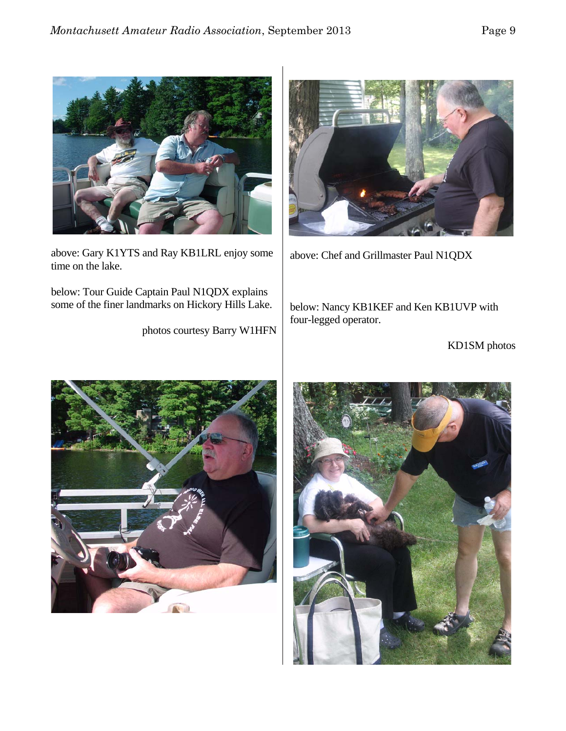

above: Gary K1YTS and Ray KB1LRL enjoy some time on the lake.

below: Tour Guide Captain Paul N1QDX explains some of the finer landmarks on Hickory Hills Lake.

photos courtesy Barry W1HFN



above: Chef and Grillmaster Paul N1QDX

below: Nancy KB1KEF and Ken KB1UVP with four-legged operator.

KD1SM photos